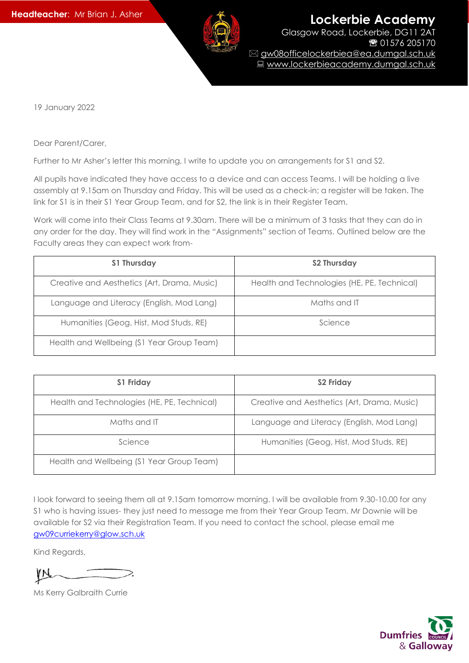

19 January 2022

Dear Parent/Carer,

Further to Mr Asher's letter this morning, I write to update you on arrangements for S1 and S2.

All pupils have indicated they have access to a device and can access Teams. I will be holding a live assembly at 9.15am on Thursday and Friday. This will be used as a check-in; a register will be taken. The link for S1 is in their S1 Year Group Team, and for S2, the link is in their Register Team.

Work will come into their Class Teams at 9.30am. There will be a minimum of 3 tasks that they can do in any order for the day. They will find work in the "Assignments" section of Teams. Outlined below are the Faculty areas they can expect work from-

| S1 Thursday                                 | S2 Thursday                                 |
|---------------------------------------------|---------------------------------------------|
| Creative and Aesthetics (Art, Drama, Music) | Health and Technologies (HE, PE, Technical) |
| Language and Literacy (English, Mod Lang)   | Maths and IT                                |
| Humanities (Geog, Hist, Mod Studs, RE)      | Science                                     |
| Health and Wellbeing (S1 Year Group Team)   |                                             |

| <b>S1 Friday</b>                            | <b>S2 Friday</b>                            |
|---------------------------------------------|---------------------------------------------|
| Health and Technologies (HE, PE, Technical) | Creative and Aesthetics (Art, Drama, Music) |
| Maths and IT                                | Language and Literacy (English, Mod Lang)   |
| Science                                     | Humanities (Geog, Hist, Mod Studs, RE)      |
| Health and Wellbeing (S1 Year Group Team)   |                                             |

I look forward to seeing them all at 9.15am tomorrow morning. I will be available from 9.30-10.00 for any S1 who is having issues- they just need to message me from their Year Group Team. Mr Downie will be available for S2 via their Registration Team. If you need to contact the school, please email me [gw09curriekerry@glow.sch.uk](mailto:gw09curriekerry@glow.sch.uk)

Kind Regards,

Ms Kerry Galbraith Currie